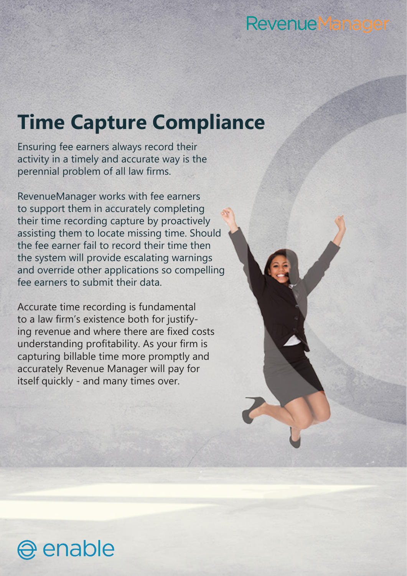## **RevenueManager**

## **Time Capture Compliance**

Ensuring fee earners always record their activity in a timely and accurate way is the perennial problem of all law firms.

RevenueManager works with fee earners to support them in accurately completing their time recording capture by proactively assisting them to locate missing time. Should the fee earner fail to record their time then the system will provide escalating warnings and override other applications so compelling fee earners to submit their data.

Accurate time recording is fundamental to a law firm's existence both for justifying revenue and where there are fixed costs understanding profitability. As your firm is capturing billable time more promptly and accurately Revenue Manager will pay for itself quickly - and many times over.

enable